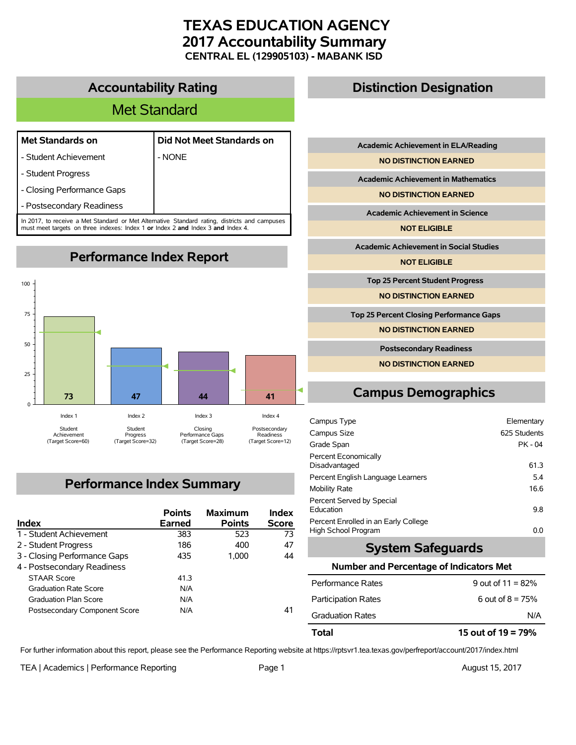# **TEXAS EDUCATION AGENCY 2017 Accountability Summary CENTRAL EL (129905103) - MABANK ISD**

## **Accountability Rating**

# Met Standard

### **Met Standards on Did Not Meet Standards on**

- Student Achievement | NONE
- Student Progress
- Closing Performance Gaps
- Postsecondary Readiness

In 2017, to receive a Met Standard or Met Alternative Standard rating, districts and campuses must meet targets on three indexes: Index 1 **or** Index 2 **and** Index 3 **and** Index 4.

**Performance Index Report**



# **Performance Index Summary**

| Index                         | <b>Points</b><br>Earned | <b>Maximum</b><br><b>Points</b> | Index<br><b>Score</b> |
|-------------------------------|-------------------------|---------------------------------|-----------------------|
| 1 - Student Achievement       | 383                     | 523                             | 73                    |
| 2 - Student Progress          | 186                     | 400                             | 47                    |
| 3 - Closing Performance Gaps  | 435                     | 1.000                           | 44                    |
| 4 - Postsecondary Readiness   |                         |                                 |                       |
| <b>STAAR Score</b>            | 413                     |                                 |                       |
| <b>Graduation Rate Score</b>  | N/A                     |                                 |                       |
| <b>Graduation Plan Score</b>  | N/A                     |                                 |                       |
| Postsecondary Component Score | N/A                     |                                 | 41                    |

## **Distinction Designation**

**Academic Achievement in ELA/Reading**

**NO DISTINCTION EARNED**

**Academic Achievement in Mathematics**

**NO DISTINCTION EARNED**

**Academic Achievement in Science**

**NOT ELIGIBLE**

**Academic Achievement in Social Studies**

**NOT ELIGIBLE**

**Top 25 Percent Student Progress**

**NO DISTINCTION EARNED**

**Top 25 Percent Closing Performance Gaps**

**NO DISTINCTION EARNED**

**Postsecondary Readiness**

**NO DISTINCTION EARNED**

# **Campus Demographics**

| Campus Type                                                 | Elementary   |
|-------------------------------------------------------------|--------------|
| Campus Size                                                 | 625 Students |
| Grade Span                                                  | PK - 04      |
| Percent Economically<br>Disadvantaged                       | 61.3         |
| Percent English Language Learners                           | 5.4          |
| <b>Mobility Rate</b>                                        | 16.6         |
| Percent Served by Special<br>Education                      | 9.8          |
| Percent Enrolled in an Early College<br>High School Program | 0.0          |

## **System Safeguards**

#### **Number and Percentage of Indicators Met**

| Total                      | 15 out of $19 = 79\%$ |
|----------------------------|-----------------------|
| <b>Graduation Rates</b>    | N/A                   |
| <b>Participation Rates</b> | 6 out of $8 = 75%$    |
| Performance Rates          | 9 out of $11 = 82%$   |

For further information about this report, please see the Performance Reporting website at https://rptsvr1.tea.texas.gov/perfreport/account/2017/index.html

TEA | Academics | Performance Reporting Page 1 August 15, 2017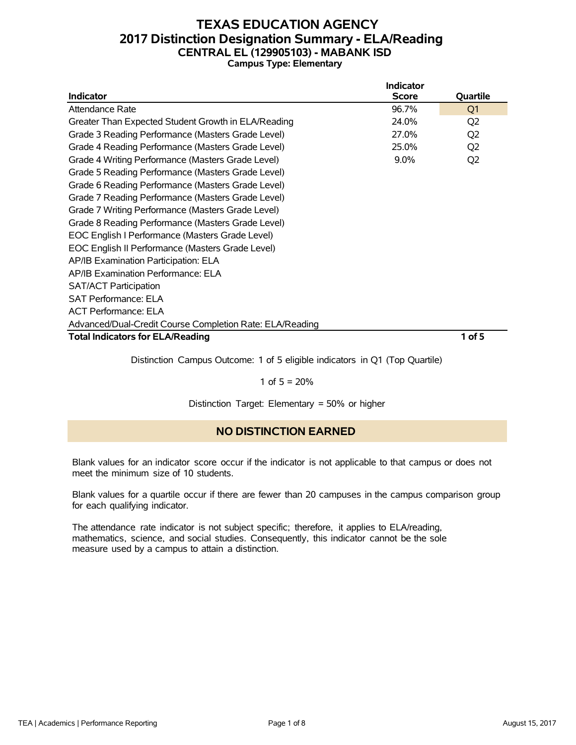## **TEXAS EDUCATION AGENCY 2017 Distinction Designation Summary - ELA/Reading CENTRAL EL (129905103) - MABANK ISD Campus Type: Elementary**

|                                                          | Indicator    |                |
|----------------------------------------------------------|--------------|----------------|
| <b>Indicator</b>                                         | <b>Score</b> | Quartile       |
| Attendance Rate                                          | 96.7%        | Q <sub>1</sub> |
| Greater Than Expected Student Growth in ELA/Reading      | 24.0%        | Q <sub>2</sub> |
| Grade 3 Reading Performance (Masters Grade Level)        | 27.0%        | Q <sub>2</sub> |
| Grade 4 Reading Performance (Masters Grade Level)        | 25.0%        | Q <sub>2</sub> |
| Grade 4 Writing Performance (Masters Grade Level)        | $9.0\%$      | Q <sub>2</sub> |
| Grade 5 Reading Performance (Masters Grade Level)        |              |                |
| Grade 6 Reading Performance (Masters Grade Level)        |              |                |
| Grade 7 Reading Performance (Masters Grade Level)        |              |                |
| Grade 7 Writing Performance (Masters Grade Level)        |              |                |
| Grade 8 Reading Performance (Masters Grade Level)        |              |                |
| EOC English I Performance (Masters Grade Level)          |              |                |
| EOC English II Performance (Masters Grade Level)         |              |                |
| AP/IB Examination Participation: ELA                     |              |                |
| AP/IB Examination Performance: ELA                       |              |                |
| <b>SAT/ACT Participation</b>                             |              |                |
| <b>SAT Performance: ELA</b>                              |              |                |
| <b>ACT Performance: ELA</b>                              |              |                |
| Advanced/Dual-Credit Course Completion Rate: ELA/Reading |              |                |
| <b>Total Indicators for ELA/Reading</b>                  |              | $1$ of 5       |

Distinction Campus Outcome: 1 of 5 eligible indicators in Q1 (Top Quartile)

#### 1 of  $5 = 20%$

Distinction Target: Elementary = 50% or higher

### **NO DISTINCTION EARNED**

Blank values for an indicator score occur if the indicator is not applicable to that campus or does not meet the minimum size of 10 students.

Blank values for a quartile occur if there are fewer than 20 campuses in the campus comparison group for each qualifying indicator.

The attendance rate indicator is not subject specific; therefore, it applies to ELA/reading, mathematics, science, and social studies. Consequently, this indicator cannot be the sole measure used by a campus to attain a distinction.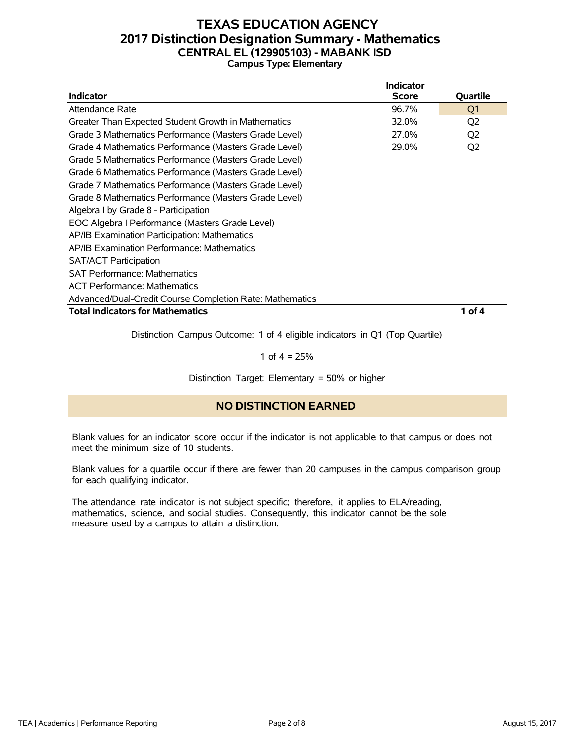### **TEXAS EDUCATION AGENCY 2017 Distinction Designation Summary - Mathematics CENTRAL EL (129905103) - MABANK ISD Campus Type: Elementary**

|                                                          | Indicator    |                |
|----------------------------------------------------------|--------------|----------------|
| <b>Indicator</b>                                         | <b>Score</b> | Quartile       |
| Attendance Rate                                          | 96.7%        | Q1             |
| Greater Than Expected Student Growth in Mathematics      | 32.0%        | Q2             |
| Grade 3 Mathematics Performance (Masters Grade Level)    | 27.0%        | Q <sub>2</sub> |
| Grade 4 Mathematics Performance (Masters Grade Level)    | 29.0%        | Q <sub>2</sub> |
| Grade 5 Mathematics Performance (Masters Grade Level)    |              |                |
| Grade 6 Mathematics Performance (Masters Grade Level)    |              |                |
| Grade 7 Mathematics Performance (Masters Grade Level)    |              |                |
| Grade 8 Mathematics Performance (Masters Grade Level)    |              |                |
| Algebra I by Grade 8 - Participation                     |              |                |
| EOC Algebra I Performance (Masters Grade Level)          |              |                |
| AP/IB Examination Participation: Mathematics             |              |                |
| AP/IB Examination Performance: Mathematics               |              |                |
| <b>SAT/ACT Participation</b>                             |              |                |
| <b>SAT Performance: Mathematics</b>                      |              |                |
| <b>ACT Performance: Mathematics</b>                      |              |                |
| Advanced/Dual-Credit Course Completion Rate: Mathematics |              |                |
| <b>Total Indicators for Mathematics</b>                  |              | 1 of 4         |

Distinction Campus Outcome: 1 of 4 eligible indicators in Q1 (Top Quartile)

1 of  $4 = 25%$ 

Distinction Target: Elementary = 50% or higher

### **NO DISTINCTION EARNED**

Blank values for an indicator score occur if the indicator is not applicable to that campus or does not meet the minimum size of 10 students.

Blank values for a quartile occur if there are fewer than 20 campuses in the campus comparison group for each qualifying indicator.

The attendance rate indicator is not subject specific; therefore, it applies to ELA/reading, mathematics, science, and social studies. Consequently, this indicator cannot be the sole measure used by a campus to attain a distinction.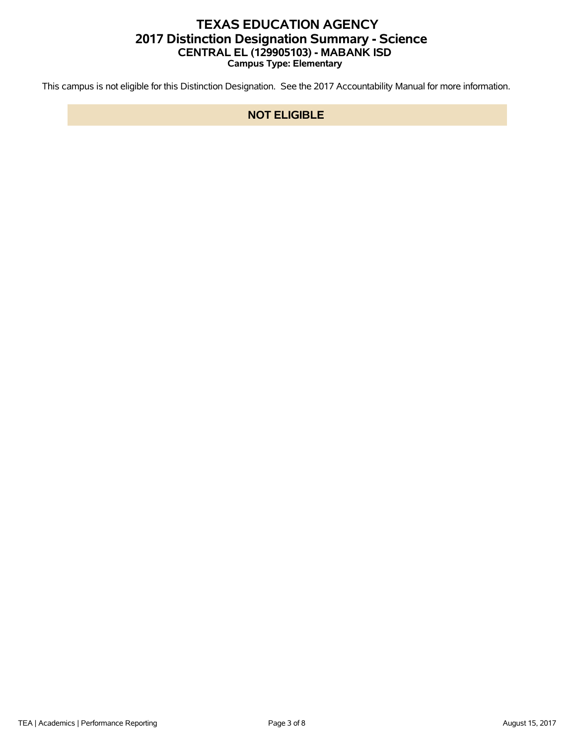## **TEXAS EDUCATION AGENCY 2017 Distinction Designation Summary - Science CENTRAL EL (129905103) - MABANK ISD Campus Type: Elementary**

This campus is not eligible for this Distinction Designation. See the 2017 Accountability Manual for more information.

### **NOT ELIGIBLE**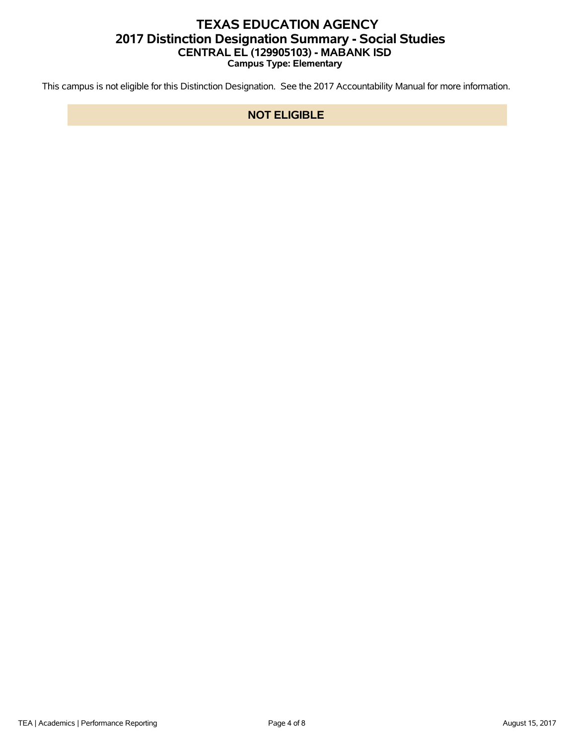## **TEXAS EDUCATION AGENCY 2017 Distinction Designation Summary - Social Studies CENTRAL EL (129905103) - MABANK ISD Campus Type: Elementary**

This campus is not eligible for this Distinction Designation. See the 2017 Accountability Manual for more information.

### **NOT ELIGIBLE**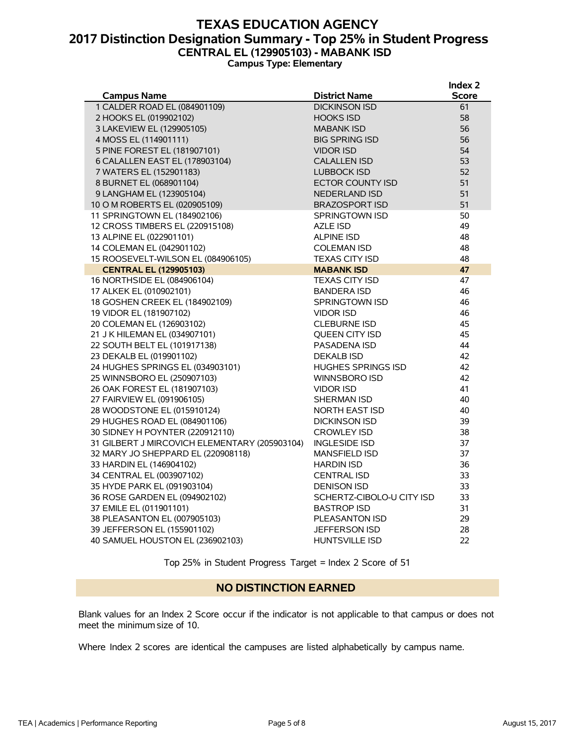### **TEXAS EDUCATION AGENCY 2017 Distinction Designation Summary - Top 25% in Student Progress CENTRAL EL (129905103) - MABANK ISD Campus Type: Elementary**

|                                                    |                                              | Index 2            |
|----------------------------------------------------|----------------------------------------------|--------------------|
| <b>Campus Name</b><br>1 CALDER ROAD EL (084901109) | <b>District Name</b><br><b>DICKINSON ISD</b> | <b>Score</b><br>61 |
| 2 HOOKS EL (019902102)                             | <b>HOOKS ISD</b>                             | 58                 |
| 3 LAKEVIEW EL (129905105)                          | <b>MABANK ISD</b>                            | 56                 |
| 4 MOSS EL (114901111)                              | <b>BIG SPRING ISD</b>                        | 56                 |
| 5 PINE FOREST EL (181907101)                       | <b>VIDOR ISD</b>                             | 54                 |
| 6 CALALLEN EAST EL (178903104)                     | <b>CALALLEN ISD</b>                          | 53                 |
| 7 WATERS EL (152901183)                            | <b>LUBBOCK ISD</b>                           | 52                 |
| 8 BURNET EL (068901104)                            | ECTOR COUNTY ISD                             | 51                 |
| 9 LANGHAM EL (123905104)                           | <b>NEDERLAND ISD</b>                         | 51                 |
| 10 O M ROBERTS EL (020905109)                      | <b>BRAZOSPORT ISD</b>                        | 51                 |
| 11 SPRINGTOWN EL (184902106)                       | <b>SPRINGTOWN ISD</b>                        | 50                 |
| 12 CROSS TIMBERS EL (220915108)                    | <b>AZLE ISD</b>                              | 49                 |
| 13 ALPINE EL (022901101)                           | <b>ALPINE ISD</b>                            | 48                 |
| 14 COLEMAN EL (042901102)                          | <b>COLEMAN ISD</b>                           | 48                 |
| 15 ROOSEVELT-WILSON EL (084906105)                 | <b>TEXAS CITY ISD</b>                        | 48                 |
| <b>CENTRAL EL (129905103)</b>                      | <b>MABANK ISD</b>                            | 47                 |
| 16 NORTHSIDE EL (084906104)                        | <b>TEXAS CITY ISD</b>                        | 47                 |
| 17 ALKEK EL (010902101)                            | <b>BANDERA ISD</b>                           | 46                 |
| 18 GOSHEN CREEK EL (184902109)                     | <b>SPRINGTOWN ISD</b>                        | 46                 |
| 19 VIDOR EL (181907102)                            | <b>VIDOR ISD</b>                             | 46                 |
| 20 COLEMAN EL (126903102)                          | <b>CLEBURNE ISD</b>                          | 45                 |
| 21 J K HILEMAN EL (034907101)                      | <b>OUEEN CITY ISD</b>                        | 45                 |
| 22 SOUTH BELT EL (101917138)                       | PASADENA ISD                                 | 44                 |
| 23 DEKALB EL (019901102)                           | <b>DEKALB ISD</b>                            | 42                 |
| 24 HUGHES SPRINGS EL (034903101)                   | <b>HUGHES SPRINGS ISD</b>                    | 42                 |
| 25 WINNSBORO EL (250907103)                        | WINNSBORO ISD                                | 42                 |
| 26 OAK FOREST EL (181907103)                       | <b>VIDOR ISD</b>                             | 41                 |
| 27 FAIRVIEW EL (091906105)                         | SHERMAN ISD                                  | 40                 |
| 28 WOODSTONE EL (015910124)                        | NORTH EAST ISD                               | 40                 |
| 29 HUGHES ROAD EL (084901106)                      | <b>DICKINSON ISD</b>                         | 39                 |
| 30 SIDNEY H POYNTER (220912110)                    | <b>CROWLEY ISD</b>                           | 38                 |
| 31 GILBERT J MIRCOVICH ELEMENTARY (205903104)      | <b>INGLESIDE ISD</b>                         | 37                 |
| 32 MARY JO SHEPPARD EL (220908118)                 | <b>MANSFIELD ISD</b>                         | 37                 |
| 33 HARDIN EL (146904102)                           | <b>HARDIN ISD</b>                            | 36                 |
| 34 CENTRAL EL (003907102)                          | <b>CENTRAL ISD</b>                           | 33                 |
| 35 HYDE PARK EL (091903104)                        | <b>DENISON ISD</b>                           | 33                 |
| 36 ROSE GARDEN EL (094902102)                      | SCHERTZ-CIBOLO-U CITY ISD                    | 33                 |
| 37 EMILE EL (011901101)                            | <b>BASTROP ISD</b>                           | 31                 |
| 38 PLEASANTON EL (007905103)                       | PLEASANTON ISD                               | 29                 |
| 39 JEFFERSON EL (155901102)                        | <b>JEFFERSON ISD</b>                         | 28                 |
| 40 SAMUEL HOUSTON EL (236902103)                   | <b>HUNTSVILLE ISD</b>                        | 22                 |

Top 25% in Student Progress Target = Index 2 Score of 51

#### **NO DISTINCTION EARNED**

Blank values for an Index 2 Score occur if the indicator is not applicable to that campus or does not meet the minimum size of 10.

Where Index 2 scores are identical the campuses are listed alphabetically by campus name.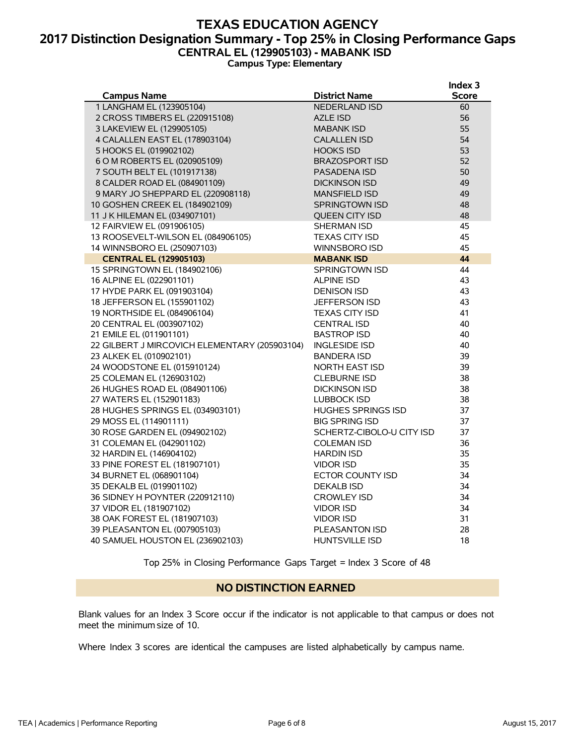### **TEXAS EDUCATION AGENCY 2017 Distinction Designation Summary - Top 25% in Closing Performance Gaps CENTRAL EL (129905103) - MABANK ISD Campus Type: Elementary**

|                                               |                           | Index 3      |
|-----------------------------------------------|---------------------------|--------------|
| <b>Campus Name</b>                            | <b>District Name</b>      | <b>Score</b> |
| 1 LANGHAM EL (123905104)                      | <b>NEDERLAND ISD</b>      | 60           |
| 2 CROSS TIMBERS EL (220915108)                | <b>AZLE ISD</b>           | 56           |
| 3 LAKEVIEW EL (129905105)                     | <b>MABANK ISD</b>         | 55           |
| 4 CALALLEN EAST EL (178903104)                | <b>CALALLEN ISD</b>       | 54           |
| 5 HOOKS EL (019902102)                        | <b>HOOKS ISD</b>          | 53           |
| 6 O M ROBERTS EL (020905109)                  | <b>BRAZOSPORT ISD</b>     | 52           |
| 7 SOUTH BELT EL (101917138)                   | <b>PASADENA ISD</b>       | 50           |
| 8 CALDER ROAD EL (084901109)                  | <b>DICKINSON ISD</b>      | 49           |
| 9 MARY JO SHEPPARD EL (220908118)             | <b>MANSFIELD ISD</b>      | 49           |
| 10 GOSHEN CREEK EL (184902109)                | <b>SPRINGTOWN ISD</b>     | 48           |
| 11 J K HILEMAN EL (034907101)                 | QUEEN CITY ISD            | 48           |
| 12 FAIRVIEW EL (091906105)                    | <b>SHERMAN ISD</b>        | 45           |
| 13 ROOSEVELT-WILSON EL (084906105)            | <b>TEXAS CITY ISD</b>     | 45           |
| 14 WINNSBORO EL (250907103)                   | <b>WINNSBORO ISD</b>      | 45           |
| <b>CENTRAL EL (129905103)</b>                 | <b>MABANK ISD</b>         | 44           |
| 15 SPRINGTOWN EL (184902106)                  | <b>SPRINGTOWN ISD</b>     | 44           |
| 16 ALPINE EL (022901101)                      | <b>ALPINE ISD</b>         | 43           |
| 17 HYDE PARK EL (091903104)                   | <b>DENISON ISD</b>        | 43           |
| 18 JEFFERSON EL (155901102)                   | JEFFERSON ISD             | 43           |
| 19 NORTHSIDE EL (084906104)                   | <b>TEXAS CITY ISD</b>     | 41           |
| 20 CENTRAL EL (003907102)                     | <b>CENTRAL ISD</b>        | 40           |
| 21 EMILE EL (011901101)                       | <b>BASTROP ISD</b>        | 40           |
| 22 GILBERT J MIRCOVICH ELEMENTARY (205903104) | <b>INGLESIDE ISD</b>      | 40           |
| 23 ALKEK EL (010902101)                       | <b>BANDERA ISD</b>        | 39           |
| 24 WOODSTONE EL (015910124)                   | NORTH EAST ISD            | 39           |
| 25 COLEMAN EL (126903102)                     | <b>CLEBURNE ISD</b>       | 38           |
| 26 HUGHES ROAD EL (084901106)                 | <b>DICKINSON ISD</b>      | 38           |
| 27 WATERS EL (152901183)                      | <b>LUBBOCK ISD</b>        | 38           |
| 28 HUGHES SPRINGS EL (034903101)              | <b>HUGHES SPRINGS ISD</b> | 37           |
| 29 MOSS EL (114901111)                        | <b>BIG SPRING ISD</b>     | 37           |
| 30 ROSE GARDEN EL (094902102)                 | SCHERTZ-CIBOLO-U CITY ISD | 37           |
| 31 COLEMAN EL (042901102)                     | <b>COLEMAN ISD</b>        | 36           |
| 32 HARDIN EL (146904102)                      | <b>HARDIN ISD</b>         | 35           |
| 33 PINE FOREST EL (181907101)                 | <b>VIDOR ISD</b>          | 35           |
| 34 BURNET EL (068901104)                      | ECTOR COUNTY ISD          | 34           |
| 35 DEKALB EL (019901102)                      | <b>DEKALB ISD</b>         | 34           |
| 36 SIDNEY H POYNTER (220912110)               | <b>CROWLEY ISD</b>        | 34           |
| 37 VIDOR EL (181907102)                       | <b>VIDOR ISD</b>          | 34           |
| 38 OAK FOREST EL (181907103)                  | <b>VIDOR ISD</b>          | 31           |
| 39 PLEASANTON EL (007905103)                  | PLEASANTON ISD            | 28           |
| 40 SAMUEL HOUSTON EL (236902103)              | <b>HUNTSVILLE ISD</b>     | 18           |
|                                               |                           |              |

Top 25% in Closing Performance Gaps Target = Index 3 Score of 48

#### **NO DISTINCTION EARNED**

Blank values for an Index 3 Score occur if the indicator is not applicable to that campus or does not meet the minimum size of 10.

Where Index 3 scores are identical the campuses are listed alphabetically by campus name.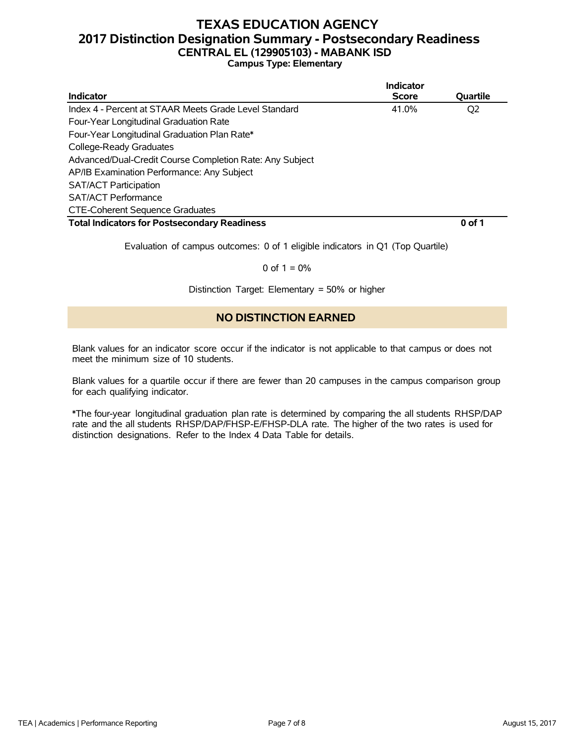## **TEXAS EDUCATION AGENCY 2017 Distinction Designation Summary - Postsecondary Readiness CENTRAL EL (129905103) - MABANK ISD**

### **Campus Type: Elementary**

|                                                          | Indicator    |          |
|----------------------------------------------------------|--------------|----------|
| Indicator                                                | <b>Score</b> | Quartile |
| Index 4 - Percent at STAAR Meets Grade Level Standard    | 41.0%        | Q2       |
| Four-Year Longitudinal Graduation Rate                   |              |          |
| Four-Year Longitudinal Graduation Plan Rate*             |              |          |
| College-Ready Graduates                                  |              |          |
| Advanced/Dual-Credit Course Completion Rate: Any Subject |              |          |
| AP/IB Examination Performance: Any Subject               |              |          |
| <b>SAT/ACT Participation</b>                             |              |          |
| <b>SAT/ACT Performance</b>                               |              |          |
| <b>CTE-Coherent Sequence Graduates</b>                   |              |          |
| <b>Total Indicators for Postsecondary Readiness</b>      |              | 0 of 1   |

Evaluation of campus outcomes: 0 of 1 eligible indicators in Q1 (Top Quartile)

#### 0 of  $1 = 0%$

Distinction Target: Elementary = 50% or higher

### **NO DISTINCTION EARNED**

Blank values for an indicator score occur if the indicator is not applicable to that campus or does not meet the minimum size of 10 students.

Blank values for a quartile occur if there are fewer than 20 campuses in the campus comparison group for each qualifying indicator.

\*The four-year longitudinal graduation plan rate is determined by comparing the all students RHSP/DAP rate and the all students RHSP/DAP/FHSP-E/FHSP-DLA rate. The higher of the two rates is used for distinction designations. Refer to the Index 4 Data Table for details.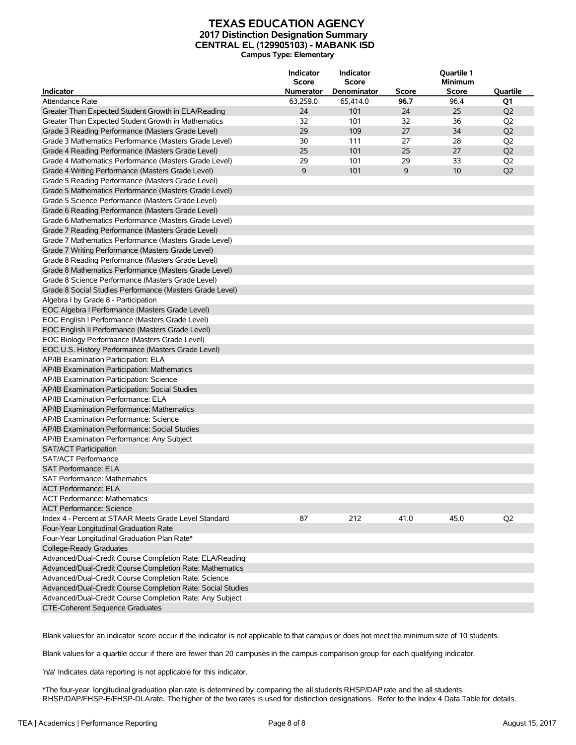#### **TEXAS EDUCATION AGENCY 2017 Distinction Designation Summary CENTRAL EL (129905103) - MABANK ISD Campus Type: Elementary**

| <b>Indicator</b>                                                       | Indicator<br><b>Score</b><br><b>Numerator</b> | Indicator<br><b>Score</b><br>Denominator | Score | <b>Quartile 1</b><br><b>Minimum</b><br><b>Score</b> | <b>Quartile</b> |
|------------------------------------------------------------------------|-----------------------------------------------|------------------------------------------|-------|-----------------------------------------------------|-----------------|
| <b>Attendance Rate</b>                                                 | 63,259.0                                      | 65,414.0                                 | 96.7  | 96.4                                                | Q1              |
|                                                                        | 24                                            | 101                                      | 24    | 25                                                  | Q <sub>2</sub>  |
| Greater Than Expected Student Growth in ELA/Reading                    | 32                                            | 101                                      | 32    | 36                                                  |                 |
| Greater Than Expected Student Growth in Mathematics                    | 29                                            | 109                                      | 27    | 34                                                  | Q <sub>2</sub>  |
| Grade 3 Reading Performance (Masters Grade Level)                      |                                               |                                          | 27    |                                                     | Q <sub>2</sub>  |
| Grade 3 Mathematics Performance (Masters Grade Level)                  | 30                                            | 111                                      |       | 28                                                  | Q <sub>2</sub>  |
| Grade 4 Reading Performance (Masters Grade Level)                      | 25                                            | 101                                      | 25    | 27                                                  | Q <sub>2</sub>  |
| Grade 4 Mathematics Performance (Masters Grade Level)                  | 29                                            | 101                                      | 29    | 33                                                  | Q <sub>2</sub>  |
| Grade 4 Writing Performance (Masters Grade Level)                      | 9                                             | 101                                      | 9     | 10                                                  | Q <sub>2</sub>  |
| Grade 5 Reading Performance (Masters Grade Level)                      |                                               |                                          |       |                                                     |                 |
| Grade 5 Mathematics Performance (Masters Grade Level)                  |                                               |                                          |       |                                                     |                 |
| Grade 5 Science Performance (Masters Grade Level)                      |                                               |                                          |       |                                                     |                 |
| Grade 6 Reading Performance (Masters Grade Level)                      |                                               |                                          |       |                                                     |                 |
| Grade 6 Mathematics Performance (Masters Grade Level)                  |                                               |                                          |       |                                                     |                 |
| Grade 7 Reading Performance (Masters Grade Level)                      |                                               |                                          |       |                                                     |                 |
| Grade 7 Mathematics Performance (Masters Grade Level)                  |                                               |                                          |       |                                                     |                 |
| Grade 7 Writing Performance (Masters Grade Level)                      |                                               |                                          |       |                                                     |                 |
| Grade 8 Reading Performance (Masters Grade Level)                      |                                               |                                          |       |                                                     |                 |
| Grade 8 Mathematics Performance (Masters Grade Level)                  |                                               |                                          |       |                                                     |                 |
| Grade 8 Science Performance (Masters Grade Level)                      |                                               |                                          |       |                                                     |                 |
| Grade 8 Social Studies Performance (Masters Grade Level)               |                                               |                                          |       |                                                     |                 |
| Algebra I by Grade 8 - Participation                                   |                                               |                                          |       |                                                     |                 |
| EOC Algebra I Performance (Masters Grade Level)                        |                                               |                                          |       |                                                     |                 |
| EOC English I Performance (Masters Grade Level)                        |                                               |                                          |       |                                                     |                 |
| EOC English II Performance (Masters Grade Level)                       |                                               |                                          |       |                                                     |                 |
| EOC Biology Performance (Masters Grade Level)                          |                                               |                                          |       |                                                     |                 |
| EOC U.S. History Performance (Masters Grade Level)                     |                                               |                                          |       |                                                     |                 |
| AP/IB Examination Participation: ELA                                   |                                               |                                          |       |                                                     |                 |
| AP/IB Examination Participation: Mathematics                           |                                               |                                          |       |                                                     |                 |
| AP/IB Examination Participation: Science                               |                                               |                                          |       |                                                     |                 |
| AP/IB Examination Participation: Social Studies                        |                                               |                                          |       |                                                     |                 |
| AP/IB Examination Performance: ELA                                     |                                               |                                          |       |                                                     |                 |
| AP/IB Examination Performance: Mathematics                             |                                               |                                          |       |                                                     |                 |
| AP/IB Examination Performance: Science                                 |                                               |                                          |       |                                                     |                 |
| AP/IB Examination Performance: Social Studies                          |                                               |                                          |       |                                                     |                 |
| AP/IB Examination Performance: Any Subject                             |                                               |                                          |       |                                                     |                 |
| <b>SAT/ACT Participation</b>                                           |                                               |                                          |       |                                                     |                 |
| <b>SAT/ACT Performance</b>                                             |                                               |                                          |       |                                                     |                 |
| <b>SAT Performance: ELA</b>                                            |                                               |                                          |       |                                                     |                 |
| SAT Performance: Mathematics                                           |                                               |                                          |       |                                                     |                 |
| <b>ACT Performance: ELA</b>                                            |                                               |                                          |       |                                                     |                 |
|                                                                        |                                               |                                          |       |                                                     |                 |
| <b>ACT Performance: Mathematics</b><br><b>ACT Performance: Science</b> |                                               |                                          |       |                                                     |                 |
|                                                                        |                                               |                                          |       |                                                     |                 |
| Index 4 - Percent at STAAR Meets Grade Level Standard                  | 87                                            | 212                                      | 41.0  | 45.0                                                | Q <sub>2</sub>  |
| Four-Year Longitudinal Graduation Rate                                 |                                               |                                          |       |                                                     |                 |
| Four-Year Longitudinal Graduation Plan Rate*                           |                                               |                                          |       |                                                     |                 |
| College-Ready Graduates                                                |                                               |                                          |       |                                                     |                 |
| Advanced/Dual-Credit Course Completion Rate: ELA/Reading               |                                               |                                          |       |                                                     |                 |
| Advanced/Dual-Credit Course Completion Rate: Mathematics               |                                               |                                          |       |                                                     |                 |
| Advanced/Dual-Credit Course Completion Rate: Science                   |                                               |                                          |       |                                                     |                 |
| Advanced/Dual-Credit Course Completion Rate: Social Studies            |                                               |                                          |       |                                                     |                 |
| Advanced/Dual-Credit Course Completion Rate: Any Subject               |                                               |                                          |       |                                                     |                 |
| CTE-Coherent Sequence Graduates                                        |                                               |                                          |       |                                                     |                 |

Blank valuesfor an indicator score occur if the indicator is not applicable to that campus or does not meet the minimum size of 10 students.

Blank valuesfor a quartile occur if there are fewer than 20 campuses in the campus comparison group for each qualifying indicator.

'n/a' Indicates data reporting is not applicable for this indicator.

\*The four-year longitudinal graduation plan rate is determined by comparing the all students RHSP/DAPrate and the all students RHSP/DAP/FHSP-E/FHSP-DLArate. The higher of the two rates is used for distinction designations. Refer to the Index 4 Data Table for details.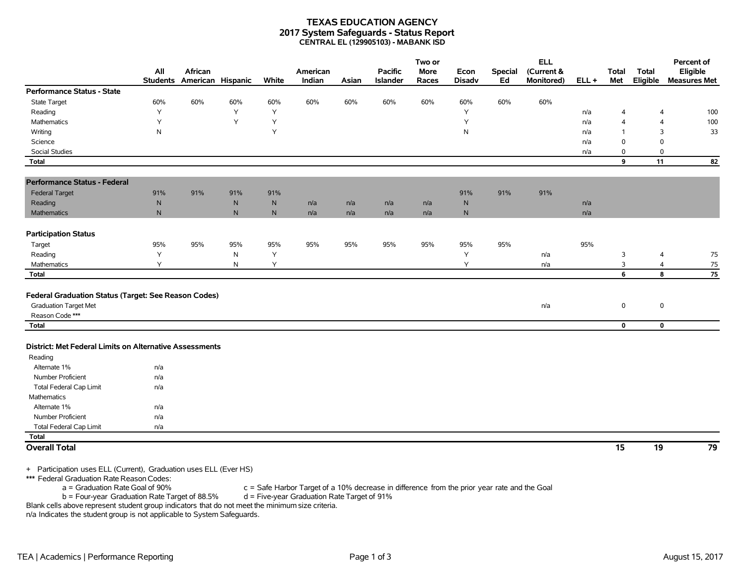#### **TEXAS EDUCATION AGENCY 2017 System Safeguards - Status Report CENTRAL EL (129905103) - MABANK ISD**

|                                                                                                         | All             | African           |           |           | American |       | Pacific  | Two or<br><b>More</b> | Econ          | <b>Special</b> | <b>ELL</b><br>(Current & |         | <b>Total</b>   | <b>Total</b>   | Percent of<br>Eligible |
|---------------------------------------------------------------------------------------------------------|-----------------|-------------------|-----------|-----------|----------|-------|----------|-----------------------|---------------|----------------|--------------------------|---------|----------------|----------------|------------------------|
|                                                                                                         | <b>Students</b> | American Hispanic |           | White     | Indian   | Asian | Islander | Races                 | <b>Disadv</b> | Ed             | <b>Monitored)</b>        | $ELL +$ | Met            | Eligible       | <b>Measures Met</b>    |
| <b>Performance Status - State</b>                                                                       |                 |                   |           |           |          |       |          |                       |               |                |                          |         |                |                |                        |
| <b>State Target</b>                                                                                     | 60%             | 60%               | 60%       | 60%       | 60%      | 60%   | 60%      | 60%                   | 60%           | 60%            | 60%                      |         |                |                |                        |
| Reading                                                                                                 | Y               |                   | Y         | Y         |          |       |          |                       | Y             |                |                          | n/a     | 4              | 4              | 100                    |
| Mathematics                                                                                             | Υ               |                   | Y         | Y         |          |       |          |                       | Y             |                |                          | n/a     | $\overline{4}$ | $\overline{4}$ | 100                    |
| Writing                                                                                                 | ${\sf N}$       |                   |           | Y         |          |       |          |                       | $\mathsf{N}$  |                |                          | n/a     | $\overline{1}$ | 3              | 33                     |
| Science                                                                                                 |                 |                   |           |           |          |       |          |                       |               |                |                          | n/a     | $\mathbf 0$    | $\Omega$       |                        |
| <b>Social Studies</b>                                                                                   |                 |                   |           |           |          |       |          |                       |               |                |                          | n/a     | 0              | $\mathbf 0$    |                        |
| <b>Total</b>                                                                                            |                 |                   |           |           |          |       |          |                       |               |                |                          |         | 9              | 11             | 82                     |
| <b>Performance Status - Federal</b>                                                                     |                 |                   |           |           |          |       |          |                       |               |                |                          |         |                |                |                        |
| <b>Federal Target</b>                                                                                   | 91%             | 91%               | 91%       | 91%       |          |       |          |                       | 91%           | 91%            | 91%                      |         |                |                |                        |
| Reading                                                                                                 | ${\sf N}$       |                   | ${\sf N}$ | ${\sf N}$ | n/a      | n/a   | n/a      | n/a                   | ${\sf N}$     |                |                          | n/a     |                |                |                        |
| <b>Mathematics</b>                                                                                      | ${\sf N}$       |                   | ${\sf N}$ | N         | n/a      | n/a   | n/a      | n/a                   | $\mathsf{N}$  |                |                          | n/a     |                |                |                        |
| <b>Participation Status</b>                                                                             |                 |                   |           |           |          |       |          |                       |               |                |                          |         |                |                |                        |
| Target                                                                                                  | 95%             | 95%               | 95%       | 95%       | 95%      | 95%   | 95%      | 95%                   | 95%           | 95%            |                          | 95%     |                |                |                        |
| Reading                                                                                                 | Y               |                   | ${\sf N}$ | Y         |          |       |          |                       | Υ             |                | n/a                      |         | 3              | $\overline{4}$ | 75                     |
| Mathematics                                                                                             | Y               |                   | ${\sf N}$ | Y         |          |       |          |                       | Y             |                | n/a                      |         | 3              | 4              | 75                     |
| Total                                                                                                   |                 |                   |           |           |          |       |          |                       |               |                |                          |         | 6              | 8              | 75                     |
| Federal Graduation Status (Target: See Reason Codes)<br><b>Graduation Target Met</b><br>Reason Code *** |                 |                   |           |           |          |       |          |                       |               |                | n/a                      |         | 0              | $\mathsf 0$    |                        |
| <b>Total</b>                                                                                            |                 |                   |           |           |          |       |          |                       |               |                |                          |         | $\mathbf 0$    | $\mathbf 0$    |                        |
| District: Met Federal Limits on Alternative Assessments<br>Reading                                      |                 |                   |           |           |          |       |          |                       |               |                |                          |         |                |                |                        |
| Alternate 1%                                                                                            | n/a             |                   |           |           |          |       |          |                       |               |                |                          |         |                |                |                        |
| Number Proficient                                                                                       | n/a             |                   |           |           |          |       |          |                       |               |                |                          |         |                |                |                        |
| <b>Total Federal Cap Limit</b>                                                                          | n/a             |                   |           |           |          |       |          |                       |               |                |                          |         |                |                |                        |
| Mathematics                                                                                             |                 |                   |           |           |          |       |          |                       |               |                |                          |         |                |                |                        |
| Alternate 1%                                                                                            | n/a             |                   |           |           |          |       |          |                       |               |                |                          |         |                |                |                        |
| Number Proficient                                                                                       | n/a             |                   |           |           |          |       |          |                       |               |                |                          |         |                |                |                        |
| <b>Total Federal Cap Limit</b>                                                                          | n/a             |                   |           |           |          |       |          |                       |               |                |                          |         |                |                |                        |
| <b>Total</b>                                                                                            |                 |                   |           |           |          |       |          |                       |               |                |                          |         |                |                |                        |
| <b>Overall Total</b>                                                                                    |                 |                   |           |           |          |       |          |                       |               |                |                          |         | 15             | 19             | 79                     |

+ Participation uses ELL (Current), Graduation uses ELL (Ever HS)

\*\*\* Federal Graduation Rate Reason Codes:<br>a = Graduation Rate Goal of 90%

 $c =$  Safe Harbor Target of a 10% decrease in difference from the prior year rate and the Goal d = Five-year Graduation Rate Target of 91%  $b =$  Four-year Graduation Rate Target of 88.5%

Blank cells above represent student group indicators that do not meet the minimum size criteria. n/a Indicates the student group is not applicable to System Safeguards.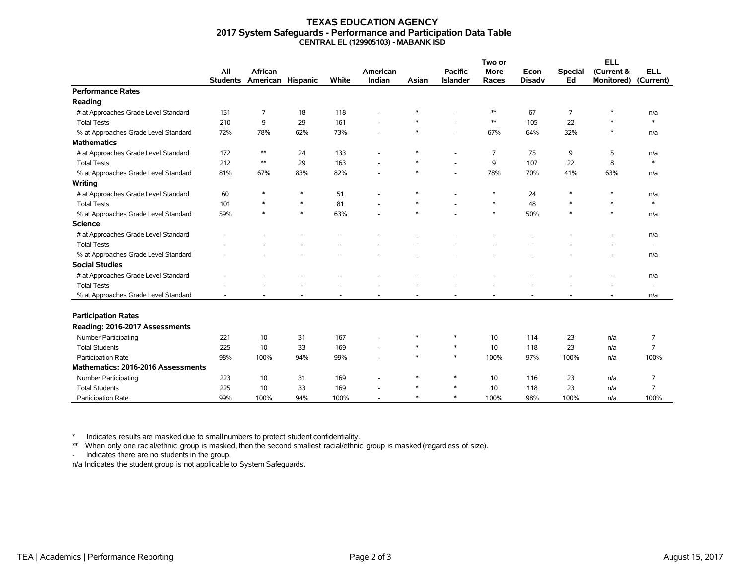#### **TEXAS EDUCATION AGENCY 2017 System Safeguards - Performance and Participation Data Table CENTRAL EL (129905103) - MABANK ISD**

|                                      |                 |                   |        |       |          |        |                 | Two or      |               | <b>ELL</b>     |            |                          |
|--------------------------------------|-----------------|-------------------|--------|-------|----------|--------|-----------------|-------------|---------------|----------------|------------|--------------------------|
|                                      | All             | <b>African</b>    |        |       | American |        | <b>Pacific</b>  | <b>More</b> | Econ          | <b>Special</b> | (Current & | <b>ELL</b>               |
|                                      | <b>Students</b> | American Hispanic |        | White | Indian   | Asian  | <b>Islander</b> | Races       | <b>Disadv</b> | Ed             | Monitored) | (Current)                |
| <b>Performance Rates</b>             |                 |                   |        |       |          |        |                 |             |               |                |            |                          |
| Reading                              |                 |                   |        |       |          |        |                 |             |               |                |            |                          |
| # at Approaches Grade Level Standard | 151             | $\overline{7}$    | 18     | 118   |          |        |                 | $\ast\ast$  | 67            | $\overline{7}$ | $\ast$     | n/a                      |
| <b>Total Tests</b>                   | 210             | 9                 | 29     | 161   |          | $\ast$ |                 | $\ast\ast$  | 105           | 22             | $\ast$     | $\ast$                   |
| % at Approaches Grade Level Standard | 72%             | 78%               | 62%    | 73%   |          | $\ast$ |                 | 67%         | 64%           | 32%            | $\ast$     | n/a                      |
| <b>Mathematics</b>                   |                 |                   |        |       |          |        |                 |             |               |                |            |                          |
| # at Approaches Grade Level Standard | 172             | $\ast\ast$        | 24     | 133   |          | $\ast$ |                 | 7           | 75            | 9              | 5          | n/a                      |
| <b>Total Tests</b>                   | 212             | $**$              | 29     | 163   |          | $\ast$ |                 | 9           | 107           | 22             | 8          | $\ast$                   |
| % at Approaches Grade Level Standard | 81%             | 67%               | 83%    | 82%   |          | $\ast$ |                 | 78%         | 70%           | 41%            | 63%        | n/a                      |
| Writing                              |                 |                   |        |       |          |        |                 |             |               |                |            |                          |
| # at Approaches Grade Level Standard | 60              | $\ast$            | $\ast$ | 51    |          | $\ast$ |                 | $\ast$      | 24            | $\ast$         | $\ast$     | n/a                      |
| <b>Total Tests</b>                   | 101             | $\ast$            | $\ast$ | 81    |          | $\ast$ |                 | $\ast$      | 48            | $\ast$         | $\ast$     | $\ast$                   |
| % at Approaches Grade Level Standard | 59%             | $\ast$            | $\ast$ | 63%   |          | $\ast$ |                 | $\ast$      | 50%           | $\ast$         | $\ast$     | n/a                      |
| <b>Science</b>                       |                 |                   |        |       |          |        |                 |             |               |                |            |                          |
| # at Approaches Grade Level Standard |                 |                   |        |       |          |        |                 |             |               |                |            | n/a                      |
| <b>Total Tests</b>                   |                 |                   |        |       |          |        |                 |             |               |                |            | $\overline{\phantom{a}}$ |
| % at Approaches Grade Level Standard |                 |                   |        |       |          |        |                 |             |               |                |            | n/a                      |
| <b>Social Studies</b>                |                 |                   |        |       |          |        |                 |             |               |                |            |                          |
| # at Approaches Grade Level Standard |                 |                   |        |       |          |        |                 |             |               |                |            | n/a                      |
| <b>Total Tests</b>                   |                 |                   |        |       |          |        |                 |             |               |                |            | $\sim$                   |
| % at Approaches Grade Level Standard |                 |                   |        |       |          |        |                 |             |               |                |            | n/a                      |
|                                      |                 |                   |        |       |          |        |                 |             |               |                |            |                          |
| <b>Participation Rates</b>           |                 |                   |        |       |          |        |                 |             |               |                |            |                          |
| Reading: 2016-2017 Assessments       |                 |                   |        |       |          |        |                 |             |               |                |            |                          |
| <b>Number Participating</b>          | 221             | 10                | 31     | 167   |          | $\ast$ | $\ast$          | 10          | 114           | 23             | n/a        | $\overline{7}$           |
| <b>Total Students</b>                | 225             | 10                | 33     | 169   |          | $\ast$ | $\ast$          | 10          | 118           | 23             | n/a        | $\overline{7}$           |
| Participation Rate                   | 98%             | 100%              | 94%    | 99%   |          | $\ast$ | $\ast$          | 100%        | 97%           | 100%           | n/a        | 100%                     |
| Mathematics: 2016-2016 Assessments   |                 |                   |        |       |          |        |                 |             |               |                |            |                          |
| Number Participating                 | 223             | 10                | 31     | 169   |          | $\ast$ | $\ast$          | 10          | 116           | 23             | n/a        | 7                        |
| <b>Total Students</b>                | 225             | 10                | 33     | 169   |          | $\ast$ | $\ast$          | 10          | 118           | 23             | n/a        | $\overline{7}$           |
| Participation Rate                   | 99%             | 100%              | 94%    | 100%  | ٠        | $\ast$ | $\ast$          | 100%        | 98%           | 100%           | n/a        | 100%                     |

\* Indicates results are masked due to smallnumbers to protect student confidentiality.

\*\* When only one racial/ethnic group is masked, then the second smallest racial/ethnic group is masked (regardless of size).

- Indicates there are no students in the group.

n/a Indicates the student group is not applicable to System Safeguards.